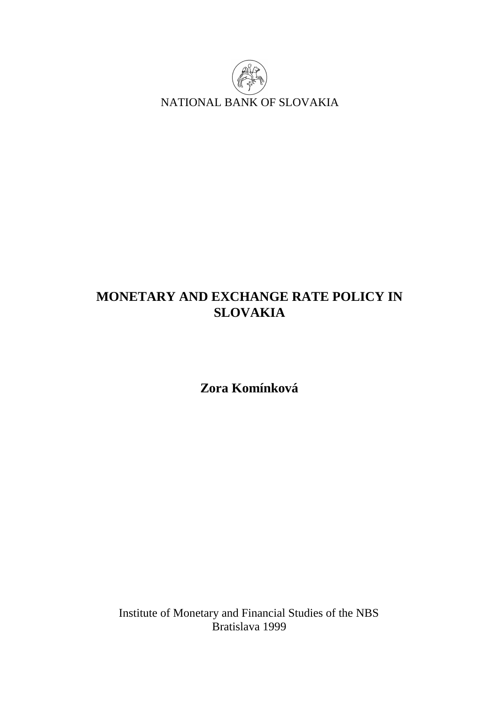

# **MONETARY AND EXCHANGE RATE POLICY IN SLOVAKIA**

**Zora Komínková** 

Institute of Monetary and Financial Studies of the NBS Bratislava 1999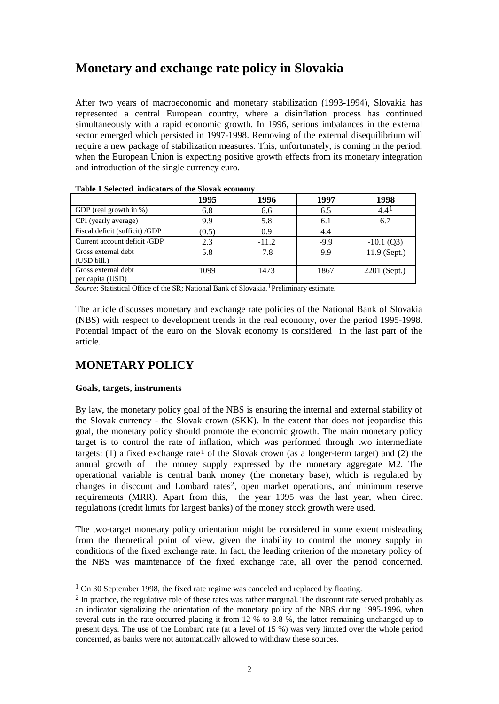## **Monetary and exchange rate policy in Slovakia**

After two years of macroeconomic and monetary stabilization (1993-1994), Slovakia has represented a central European country, where a disinflation process has continued simultaneously with a rapid economic growth. In 1996, serious imbalances in the external sector emerged which persisted in 1997-1998. Removing of the external disequilibrium will require a new package of stabilization measures. This, unfortunately, is coming in the period, when the European Union is expecting positive growth effects from its monetary integration and introduction of the single currency euro.

|                                         | 1995  | 1996    | 1997   | 1998         |
|-----------------------------------------|-------|---------|--------|--------------|
| GDP (real growth in $\%$ )              | 6.8   | 6.6     | 6.5    | $4.4^{1}$    |
| CPI (yearly average)                    | 9.9   | 5.8     | 6.1    | 6.7          |
| Fiscal deficit (sufficit) /GDP          | (0.5) | 0.9     | 4.4    |              |
| Current account deficit /GDP            | 2.3   | $-11.2$ | $-9.9$ | $-10.1$ (Q3) |
| Gross external debt<br>(USD bill.)      | 5.8   | 7.8     | 9.9    | 11.9 (Sept.) |
| Gross external debt<br>per capita (USD) | 1099  | 1473    | 1867   | 2201 (Sept.) |

**Table 1 Selected indicators of the Slovak economy** 

*Source*: Statistical Office of the SR; National Bank of Slovakia.<sup>1</sup>Preliminary estimate.

The article discusses monetary and exchange rate policies of the National Bank of Slovakia (NBS) with respect to development trends in the real economy, over the period 1995-1998. Potential impact of the euro on the Slovak economy is considered in the last part of the article.

## **MONETARY POLICY**

#### **Goals, targets, instruments**

l

By law, the monetary policy goal of the NBS is ensuring the internal and external stability of the Slovak currency - the Slovak crown (SKK). In the extent that does not jeopardise this goal, the monetary policy should promote the economic growth. The main monetary policy target is to control the rate of inflation, which was performed through two intermediate targets: (1) a fixed exchange rate<sup>1</sup> of the Slovak crown (as a longer-term target) and (2) the annual growth of the money supply expressed by the monetary aggregate M2. The operational variable is central bank money (the monetary base), which is regulated by changes in discount and Lombard rates2, open market operations, and minimum reserve requirements (MRR). Apart from this, the year 1995 was the last year, when direct regulations (credit limits for largest banks) of the money stock growth were used.

The two-target monetary policy orientation might be considered in some extent misleading from the theoretical point of view, given the inability to control the money supply in conditions of the fixed exchange rate. In fact, the leading criterion of the monetary policy of the NBS was maintenance of the fixed exchange rate, all over the period concerned.

<sup>&</sup>lt;sup>1</sup> On 30 September 1998, the fixed rate regime was canceled and replaced by floating.

<sup>&</sup>lt;sup>2</sup> In practice, the regulative role of these rates was rather marginal. The discount rate served probably as an indicator signalizing the orientation of the monetary policy of the NBS during 1995-1996, when several cuts in the rate occurred placing it from 12 % to 8.8 %, the latter remaining unchanged up to present days. The use of the Lombard rate (at a level of 15 %) was very limited over the whole period concerned, as banks were not automatically allowed to withdraw these sources.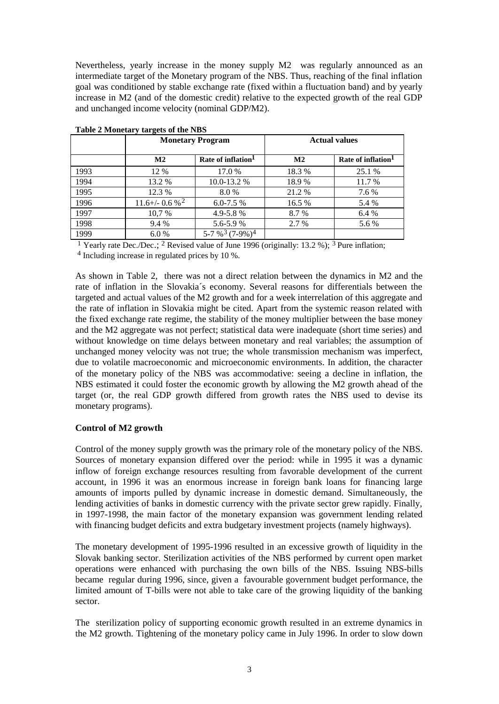Nevertheless, yearly increase in the money supply M2 was regularly announced as an intermediate target of the Monetary program of the NBS. Thus, reaching of the final inflation goal was conditioned by stable exchange rate (fixed within a fluctuation band) and by yearly increase in M2 (and of the domestic credit) relative to the expected growth of the real GDP and unchanged income velocity (nominal GDP/M2).

|      |                       | <b>Monetary Program</b>        |                | <b>Actual values</b>           |  |  |
|------|-----------------------|--------------------------------|----------------|--------------------------------|--|--|
|      | $\mathbf{M2}$         | Rate of inflation <sup>1</sup> | M <sub>2</sub> | Rate of inflation <sup>1</sup> |  |  |
| 1993 | 12 %                  | 17.0 %                         | 18.3%          | 25.1 %                         |  |  |
| 1994 | 13.2 %                | $10.0 - 13.2$ %                | 18.9%          | 11.7 %                         |  |  |
| 1995 | 12.3 %                | 8.0%                           | 21.2 %         | 7.6 %                          |  |  |
| 1996 | $11.6 + (-0.6 %^{2})$ | $6.0 - 7.5\%$                  | 16.5 %         | 5.4 %                          |  |  |
| 1997 | 10,7%                 | $4.9 - 5.8%$                   | 8.7 %          | 6.4 %                          |  |  |
| 1998 | 9.4 %                 | 5.6-5.9%                       | 2.7 %          | 5.6 %                          |  |  |
| 1999 | 6.0%                  | 5-7 % $3(7-9%)$ <sup>4</sup>   |                |                                |  |  |

| Table 2 Monetary targets of the NBS |  |  |
|-------------------------------------|--|--|
|                                     |  |  |

<sup>1</sup> Yearly rate Dec./Dec.; <sup>2</sup> Revised value of June 1996 (originally: 13.2 %); <sup>3</sup> Pure inflation;

4 Including increase in regulated prices by 10 %.

As shown in Table 2, there was not a direct relation between the dynamics in M2 and the rate of inflation in the Slovakia´s economy. Several reasons for differentials between the targeted and actual values of the M2 growth and for a week interrelation of this aggregate and the rate of inflation in Slovakia might be cited. Apart from the systemic reason related with the fixed exchange rate regime, the stability of the money multiplier between the base money and the M2 aggregate was not perfect; statistical data were inadequate (short time series) and without knowledge on time delays between monetary and real variables; the assumption of unchanged money velocity was not true; the whole transmission mechanism was imperfect, due to volatile macroeconomic and microeconomic environments. In addition, the character of the monetary policy of the NBS was accommodative: seeing a decline in inflation, the NBS estimated it could foster the economic growth by allowing the M2 growth ahead of the target (or, the real GDP growth differed from growth rates the NBS used to devise its monetary programs).

#### **Control of M2 growth**

Control of the money supply growth was the primary role of the monetary policy of the NBS. Sources of monetary expansion differed over the period: while in 1995 it was a dynamic inflow of foreign exchange resources resulting from favorable development of the current account, in 1996 it was an enormous increase in foreign bank loans for financing large amounts of imports pulled by dynamic increase in domestic demand. Simultaneously, the lending activities of banks in domestic currency with the private sector grew rapidly. Finally, in 1997-1998, the main factor of the monetary expansion was government lending related with financing budget deficits and extra budgetary investment projects (namely highways).

The monetary development of 1995-1996 resulted in an excessive growth of liquidity in the Slovak banking sector. Sterilization activities of the NBS performed by current open market operations were enhanced with purchasing the own bills of the NBS. Issuing NBS-bills became regular during 1996, since, given a favourable government budget performance, the limited amount of T-bills were not able to take care of the growing liquidity of the banking sector.

The sterilization policy of supporting economic growth resulted in an extreme dynamics in the M2 growth. Tightening of the monetary policy came in July 1996. In order to slow down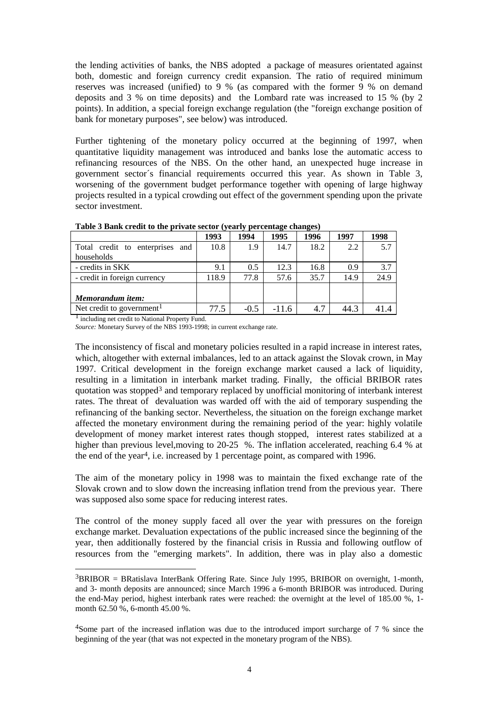the lending activities of banks, the NBS adopted a package of measures orientated against both, domestic and foreign currency credit expansion. The ratio of required minimum reserves was increased (unified) to 9 % (as compared with the former 9 % on demand deposits and 3 % on time deposits) and the Lombard rate was increased to 15 % (by 2 points). In addition, a special foreign exchange regulation (the "foreign exchange position of bank for monetary purposes", see below) was introduced.

Further tightening of the monetary policy occurred at the beginning of 1997, when quantitative liquidity management was introduced and banks lose the automatic access to refinancing resources of the NBS. On the other hand, an unexpected huge increase in government sector´s financial requirements occurred this year. As shown in Table 3, worsening of the government budget performance together with opening of large highway projects resulted in a typical crowding out effect of the government spending upon the private sector investment.

|                                       | 1993  | 1994   | 1995    | 1996 | 1997 | 1998 |
|---------------------------------------|-------|--------|---------|------|------|------|
| Total credit to enterprises<br>and    | 10.8  | 1.9    | 14.7    | 18.2 | 2.2  | 5.7  |
| households                            |       |        |         |      |      |      |
| - credits in SKK                      | 9.1   | 0.5    | 12.3    | 16.8 | 0.9  | 3.7  |
| - credit in foreign currency          | 118.9 | 77.8   | 57.6    | 35.7 | 14.9 | 24.9 |
|                                       |       |        |         |      |      |      |
| Memorandum item:                      |       |        |         |      |      |      |
| Net credit to government <sup>1</sup> | 77.5  | $-0.5$ | $-11.6$ | 4.7  | 44.3 |      |

**Table 3 Bank credit to the private sector (yearly percentage changes)** 

<sup>1</sup> including net credit to National Property Fund.

l

*Source:* Monetary Survey of the NBS 1993-1998; in current exchange rate.

The inconsistency of fiscal and monetary policies resulted in a rapid increase in interest rates, which, altogether with external imbalances, led to an attack against the Slovak crown, in May 1997. Critical development in the foreign exchange market caused a lack of liquidity, resulting in a limitation in interbank market trading. Finally, the official BRIBOR rates quotation was stopped<sup>3</sup> and temporary replaced by unofficial monitoring of interbank interest rates. The threat of devaluation was warded off with the aid of temporary suspending the refinancing of the banking sector. Nevertheless, the situation on the foreign exchange market affected the monetary environment during the remaining period of the year: highly volatile development of money market interest rates though stopped, interest rates stabilized at a higher than previous level, moving to 20-25 %. The inflation accelerated, reaching 6.4 % at the end of the year4, i.e. increased by 1 percentage point, as compared with 1996.

The aim of the monetary policy in 1998 was to maintain the fixed exchange rate of the Slovak crown and to slow down the increasing inflation trend from the previous year. There was supposed also some space for reducing interest rates.

The control of the money supply faced all over the year with pressures on the foreign exchange market. Devaluation expectations of the public increased since the beginning of the year, then additionally fostered by the financial crisis in Russia and following outflow of resources from the "emerging markets". In addition, there was in play also a domestic

<sup>3</sup>BRIBOR = BRatislava InterBank Offering Rate. Since July 1995, BRIBOR on overnight, 1-month, and 3- month deposits are announced; since March 1996 a 6-month BRIBOR was introduced. During the end-May period, highest interbank rates were reached: the overnight at the level of 185.00 %, 1 month 62.50 %, 6-month 45.00 %.

<sup>4</sup>Some part of the increased inflation was due to the introduced import surcharge of 7 % since the beginning of the year (that was not expected in the monetary program of the NBS).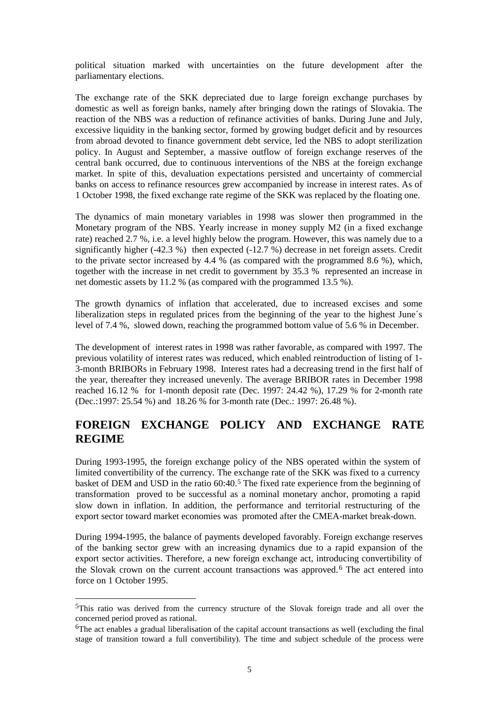political situation marked with uncertainties on the future development after the parliamentary elections.

The exchange rate of the SKK depreciated due to large foreign exchange purchases by domestic as well as foreign banks, namely after bringing down the ratings of Slovakia. The reaction of the NBS was a reduction of refinance activities of banks. During June and July, excessive liquidity in the banking sector, formed by growing budget deficit and by resources from abroad devoted to finance government debt service, led the NBS to adopt sterilization policy. In August and September, a massive outflow of foreign exchange reserves of the central bank occurred, due to continuous interventions of the NBS at the foreign exchange market. In spite of this, devaluation expectations persisted and uncertainty of commercial banks on access to refinance resources grew accompanied by increase in interest rates. As of 1 October 1998, the fixed exchange rate regime of the SKK was replaced by the floating one.

The dynamics of main monetary variables in 1998 was slower then programmed in the Monetary program of the NBS. Yearly increase in money supply M2 (in a fixed exchange rate) reached 2.7 %, i.e. a level highly below the program. However, this was namely due to a significantly higher (-42.3 %) then expected (-12.7 %) decrease in net foreign assets. Credit to the private sector increased by 4.4 % (as compared with the programmed 8.6 %), which, together with the increase in net credit to government by 35.3 % represented an increase in net domestic assets by 11.2 % (as compared with the programmed 13.5 %).

The growth dynamics of inflation that accelerated, due to increased excises and some liberalization steps in regulated prices from the beginning of the year to the highest June's level of 7.4 %, slowed down, reaching the programmed bottom value of 5.6 % in December.

The development of interest rates in 1998 was rather favorable, as compared with 1997. The previous volatility of interest rates was reduced, which enabled reintroduction of listing of 1- 3-month BRIBORs in February 1998. Interest rates had a decreasing trend in the first half of the year, thereafter they increased unevenly. The average BRIBOR rates in December 1998 reached 16.12 % for 1-month deposit rate (Dec. 1997: 24.42 %), 17.29 % for 2-month rate (Dec.:1997: 25.54 %) and 18.26 % for 3-month rate (Dec.: 1997: 26.48 %).

## **FOREIGN EXCHANGE POLICY AND EXCHANGE RATE REGIME**

During 1993-1995, the foreign exchange policy of the NBS operated within the system of limited convertibility of the currency. The exchange rate of the SKK was fixed to a currency basket of DEM and USD in the ratio 60:40.<sup>5</sup> The fixed rate experience from the beginning of transformation proved to be successful as a nominal monetary anchor, promoting a rapid slow down in inflation. In addition, the performance and territorial restructuring of the export sector toward market economies was promoted after the CMEA-market break-down.

During 1994-1995, the balance of payments developed favorably. Foreign exchange reserves of the banking sector grew with an increasing dynamics due to a rapid expansion of the export sector activities. Therefore, a new foreign exchange act, introducing convertibility of the Slovak crown on the current account transactions was approved.<sup>6</sup> The act entered into force on 1 October 1995.

l

<sup>5</sup>This ratio was derived from the currency structure of the Slovak foreign trade and all over the concerned period proved as rational.

<sup>&</sup>lt;sup>6</sup>The act enables a gradual liberalisation of the capital account transactions as well (excluding the final stage of transition toward a full convertibility). The time and subject schedule of the process were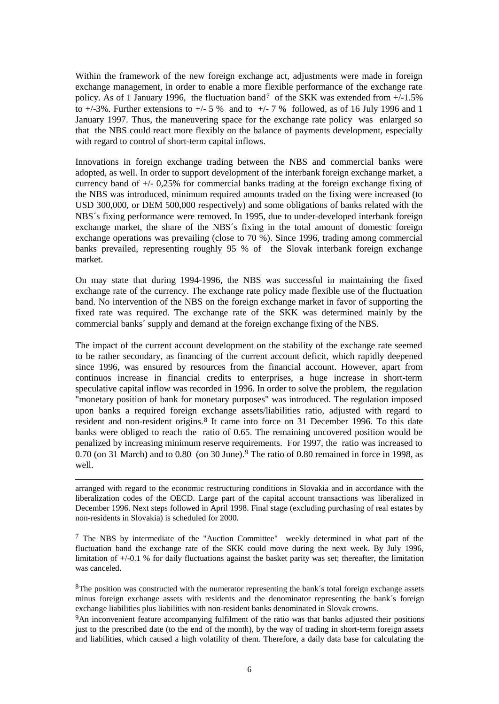Within the framework of the new foreign exchange act, adjustments were made in foreign exchange management, in order to enable a more flexible performance of the exchange rate policy. As of 1 January 1996, the fluctuation band<sup>7</sup> of the SKK was extended from +/-1.5% to  $+/-3\%$ . Further extensions to  $+/-5\%$  and to  $+/-7\%$  followed, as of 16 July 1996 and 1 January 1997. Thus, the maneuvering space for the exchange rate policy was enlarged so that the NBS could react more flexibly on the balance of payments development, especially with regard to control of short-term capital inflows.

Innovations in foreign exchange trading between the NBS and commercial banks were adopted, as well. In order to support development of the interbank foreign exchange market, a currency band of +/- 0,25% for commercial banks trading at the foreign exchange fixing of the NBS was introduced, minimum required amounts traded on the fixing were increased (to USD 300,000, or DEM 500,000 respectively) and some obligations of banks related with the NBS´s fixing performance were removed. In 1995, due to under-developed interbank foreign exchange market, the share of the NBS´s fixing in the total amount of domestic foreign exchange operations was prevailing (close to 70 %). Since 1996, trading among commercial banks prevailed, representing roughly 95 % of the Slovak interbank foreign exchange market.

On may state that during 1994-1996, the NBS was successful in maintaining the fixed exchange rate of the currency. The exchange rate policy made flexible use of the fluctuation band. No intervention of the NBS on the foreign exchange market in favor of supporting the fixed rate was required. The exchange rate of the SKK was determined mainly by the commercial banks´ supply and demand at the foreign exchange fixing of the NBS.

The impact of the current account development on the stability of the exchange rate seemed to be rather secondary, as financing of the current account deficit, which rapidly deepened since 1996, was ensured by resources from the financial account. However, apart from continuos increase in financial credits to enterprises, a huge increase in short-term speculative capital inflow was recorded in 1996. In order to solve the problem, the regulation "monetary position of bank for monetary purposes" was introduced. The regulation imposed upon banks a required foreign exchange assets/liabilities ratio, adjusted with regard to resident and non-resident origins.<sup>8</sup> It came into force on 31 December 1996. To this date banks were obliged to reach the ratio of 0.65. The remaining uncovered position would be penalized by increasing minimum reserve requirements. For 1997, the ratio was increased to  $0.70$  (on 31 March) and to  $0.80$  (on 30 June).<sup>9</sup> The ratio of  $0.80$  remained in force in 1998, as well.

arranged with regard to the economic restructuring conditions in Slovakia and in accordance with the liberalization codes of the OECD. Large part of the capital account transactions was liberalized in December 1996. Next steps followed in April 1998. Final stage (excluding purchasing of real estates by non-residents in Slovakia) is scheduled for 2000.

l

7 The NBS by intermediate of the "Auction Committee" weekly determined in what part of the fluctuation band the exchange rate of the SKK could move during the next week. By July 1996, limitation of +/-0.1 % for daily fluctuations against the basket parity was set; thereafter, the limitation was canceled.

<sup>8</sup>The position was constructed with the numerator representing the bank's total foreign exchange assets minus foreign exchange assets with residents and the denominator representing the bank´s foreign exchange liabilities plus liabilities with non-resident banks denominated in Slovak crowns.

9An inconvenient feature accompanying fulfilment of the ratio was that banks adjusted their positions just to the prescribed date (to the end of the month), by the way of trading in short-term foreign assets and liabilities, which caused a high volatility of them. Therefore, a daily data base for calculating the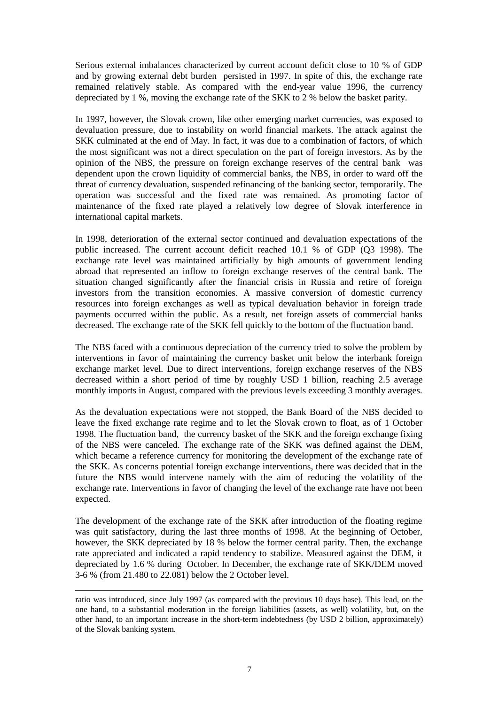Serious external imbalances characterized by current account deficit close to 10 % of GDP and by growing external debt burden persisted in 1997. In spite of this, the exchange rate remained relatively stable. As compared with the end-year value 1996, the currency depreciated by 1 %, moving the exchange rate of the SKK to 2 % below the basket parity.

In 1997, however, the Slovak crown, like other emerging market currencies, was exposed to devaluation pressure, due to instability on world financial markets. The attack against the SKK culminated at the end of May. In fact, it was due to a combination of factors, of which the most significant was not a direct speculation on the part of foreign investors. As by the opinion of the NBS, the pressure on foreign exchange reserves of the central bank was dependent upon the crown liquidity of commercial banks, the NBS, in order to ward off the threat of currency devaluation, suspended refinancing of the banking sector, temporarily. The operation was successful and the fixed rate was remained. As promoting factor of maintenance of the fixed rate played a relatively low degree of Slovak interference in international capital markets.

In 1998, deterioration of the external sector continued and devaluation expectations of the public increased. The current account deficit reached 10.1 % of GDP (Q3 1998). The exchange rate level was maintained artificially by high amounts of government lending abroad that represented an inflow to foreign exchange reserves of the central bank. The situation changed significantly after the financial crisis in Russia and retire of foreign investors from the transition economies. A massive conversion of domestic currency resources into foreign exchanges as well as typical devaluation behavior in foreign trade payments occurred within the public. As a result, net foreign assets of commercial banks decreased. The exchange rate of the SKK fell quickly to the bottom of the fluctuation band.

The NBS faced with a continuous depreciation of the currency tried to solve the problem by interventions in favor of maintaining the currency basket unit below the interbank foreign exchange market level. Due to direct interventions, foreign exchange reserves of the NBS decreased within a short period of time by roughly USD 1 billion, reaching 2.5 average monthly imports in August, compared with the previous levels exceeding 3 monthly averages.

As the devaluation expectations were not stopped, the Bank Board of the NBS decided to leave the fixed exchange rate regime and to let the Slovak crown to float, as of 1 October 1998. The fluctuation band, the currency basket of the SKK and the foreign exchange fixing of the NBS were canceled. The exchange rate of the SKK was defined against the DEM, which became a reference currency for monitoring the development of the exchange rate of the SKK. As concerns potential foreign exchange interventions, there was decided that in the future the NBS would intervene namely with the aim of reducing the volatility of the exchange rate. Interventions in favor of changing the level of the exchange rate have not been expected.

The development of the exchange rate of the SKK after introduction of the floating regime was quit satisfactory, during the last three months of 1998. At the beginning of October, however, the SKK depreciated by 18 % below the former central parity. Then, the exchange rate appreciated and indicated a rapid tendency to stabilize. Measured against the DEM, it depreciated by 1.6 % during October. In December, the exchange rate of SKK/DEM moved 3-6 % (from 21.480 to 22.081) below the 2 October level.

l

ratio was introduced, since July 1997 (as compared with the previous 10 days base). This lead, on the one hand, to a substantial moderation in the foreign liabilities (assets, as well) volatility, but, on the other hand, to an important increase in the short-term indebtedness (by USD 2 billion, approximately) of the Slovak banking system.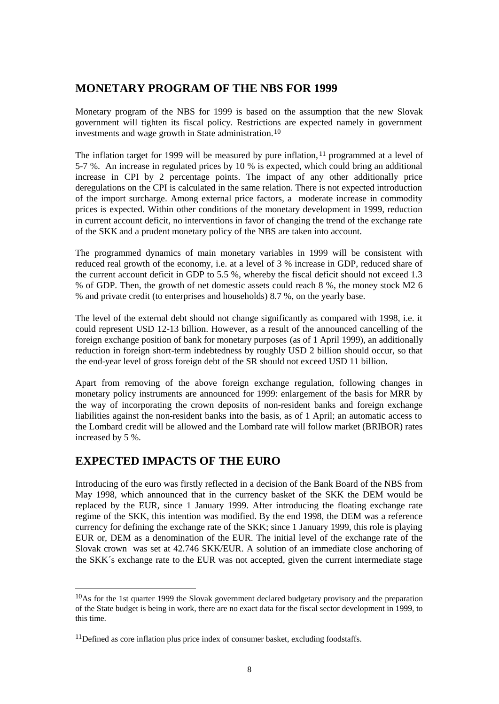## **MONETARY PROGRAM OF THE NBS FOR 1999**

Monetary program of the NBS for 1999 is based on the assumption that the new Slovak government will tighten its fiscal policy. Restrictions are expected namely in government investments and wage growth in State administration.<sup>10</sup>

The inflation target for 1999 will be measured by pure inflation, <sup>11</sup> programmed at a level of 5-7 %. An increase in regulated prices by 10 % is expected, which could bring an additional increase in CPI by 2 percentage points. The impact of any other additionally price deregulations on the CPI is calculated in the same relation. There is not expected introduction of the import surcharge. Among external price factors, a moderate increase in commodity prices is expected. Within other conditions of the monetary development in 1999, reduction in current account deficit, no interventions in favor of changing the trend of the exchange rate of the SKK and a prudent monetary policy of the NBS are taken into account.

The programmed dynamics of main monetary variables in 1999 will be consistent with reduced real growth of the economy, i.e. at a level of 3 % increase in GDP, reduced share of the current account deficit in GDP to 5.5 %, whereby the fiscal deficit should not exceed 1.3 % of GDP. Then, the growth of net domestic assets could reach 8 %, the money stock M2 6 % and private credit (to enterprises and households) 8.7 %, on the yearly base.

The level of the external debt should not change significantly as compared with 1998, i.e. it could represent USD 12-13 billion. However, as a result of the announced cancelling of the foreign exchange position of bank for monetary purposes (as of 1 April 1999), an additionally reduction in foreign short-term indebtedness by roughly USD 2 billion should occur, so that the end-year level of gross foreign debt of the SR should not exceed USD 11 billion.

Apart from removing of the above foreign exchange regulation, following changes in monetary policy instruments are announced for 1999: enlargement of the basis for MRR by the way of incorporating the crown deposits of non-resident banks and foreign exchange liabilities against the non-resident banks into the basis, as of 1 April; an automatic access to the Lombard credit will be allowed and the Lombard rate will follow market (BRIBOR) rates increased by 5 %.

## **EXPECTED IMPACTS OF THE EURO**

l

Introducing of the euro was firstly reflected in a decision of the Bank Board of the NBS from May 1998, which announced that in the currency basket of the SKK the DEM would be replaced by the EUR, since 1 January 1999. After introducing the floating exchange rate regime of the SKK, this intention was modified. By the end 1998, the DEM was a reference currency for defining the exchange rate of the SKK; since 1 January 1999, this role is playing EUR or, DEM as a denomination of the EUR. The initial level of the exchange rate of the Slovak crown was set at 42.746 SKK/EUR. A solution of an immediate close anchoring of the SKK´s exchange rate to the EUR was not accepted, given the current intermediate stage

 $10\text{As}$  for the 1st quarter 1999 the Slovak government declared budgetary provisory and the preparation of the State budget is being in work, there are no exact data for the fiscal sector development in 1999, to this time.

<sup>&</sup>lt;sup>11</sup>Defined as core inflation plus price index of consumer basket, excluding foodstaffs.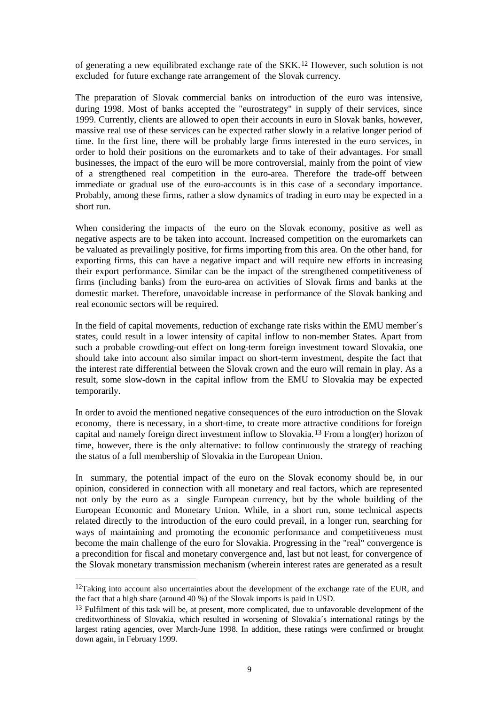of generating a new equilibrated exchange rate of the SKK.<sup>12</sup> However, such solution is not excluded for future exchange rate arrangement of the Slovak currency.

The preparation of Slovak commercial banks on introduction of the euro was intensive, during 1998. Most of banks accepted the "eurostrategy" in supply of their services, since 1999. Currently, clients are allowed to open their accounts in euro in Slovak banks, however, massive real use of these services can be expected rather slowly in a relative longer period of time. In the first line, there will be probably large firms interested in the euro services, in order to hold their positions on the euromarkets and to take of their advantages. For small businesses, the impact of the euro will be more controversial, mainly from the point of view of a strengthened real competition in the euro-area. Therefore the trade-off between immediate or gradual use of the euro-accounts is in this case of a secondary importance. Probably, among these firms, rather a slow dynamics of trading in euro may be expected in a short run.

When considering the impacts of the euro on the Slovak economy, positive as well as negative aspects are to be taken into account. Increased competition on the euromarkets can be valuated as prevailingly positive, for firms importing from this area. On the other hand, for exporting firms, this can have a negative impact and will require new efforts in increasing their export performance. Similar can be the impact of the strengthened competitiveness of firms (including banks) from the euro-area on activities of Slovak firms and banks at the domestic market. Therefore, unavoidable increase in performance of the Slovak banking and real economic sectors will be required.

In the field of capital movements, reduction of exchange rate risks within the EMU member´s states, could result in a lower intensity of capital inflow to non-member States. Apart from such a probable crowding-out effect on long-term foreign investment toward Slovakia, one should take into account also similar impact on short-term investment, despite the fact that the interest rate differential between the Slovak crown and the euro will remain in play. As a result, some slow-down in the capital inflow from the EMU to Slovakia may be expected temporarily.

In order to avoid the mentioned negative consequences of the euro introduction on the Slovak economy, there is necessary, in a short-time, to create more attractive conditions for foreign capital and namely foreign direct investment inflow to Slovakia. <sup>13</sup> From a long(er) horizon of time, however, there is the only alternative: to follow continuously the strategy of reaching the status of a full membership of Slovakia in the European Union.

In summary, the potential impact of the euro on the Slovak economy should be, in our opinion, considered in connection with all monetary and real factors, which are represented not only by the euro as a single European currency, but by the whole building of the European Economic and Monetary Union. While, in a short run, some technical aspects related directly to the introduction of the euro could prevail, in a longer run, searching for ways of maintaining and promoting the economic performance and competitiveness must become the main challenge of the euro for Slovakia. Progressing in the "real" convergence is a precondition for fiscal and monetary convergence and, last but not least, for convergence of the Slovak monetary transmission mechanism (wherein interest rates are generated as a result

l

<sup>&</sup>lt;sup>12</sup>Taking into account also uncertainties about the development of the exchange rate of the EUR, and the fact that a high share (around 40 %) of the Slovak imports is paid in USD.

<sup>&</sup>lt;sup>13</sup> Fulfilment of this task will be, at present, more complicated, due to unfavorable development of the creditworthiness of Slovakia, which resulted in worsening of Slovakia´s international ratings by the largest rating agencies, over March-June 1998. In addition, these ratings were confirmed or brought down again, in February 1999.